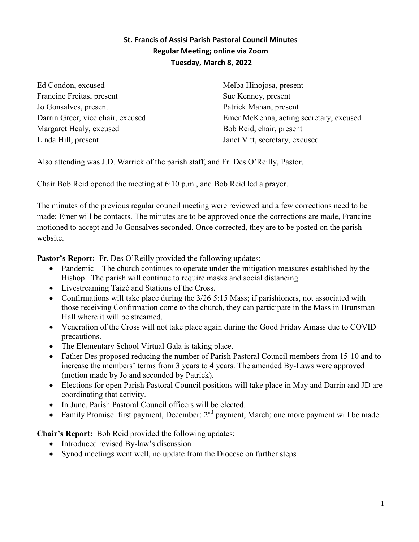# **St. Francis of Assisi Parish Pastoral Council Minutes Regular Meeting; online via Zoom Tuesday, March 8, 2022**

Ed Condon, excused Francine Freitas, present Jo Gonsalves, present Darrin Greer, vice chair, excused Margaret Healy, excused Linda Hill, present

Melba Hinojosa, present Sue Kenney, present Patrick Mahan, present Emer McKenna, acting secretary, excused Bob Reid, chair, present Janet Vitt, secretary, excused

Also attending was J.D. Warrick of the parish staff, and Fr. Des O'Reilly, Pastor.

Chair Bob Reid opened the meeting at 6:10 p.m., and Bob Reid led a prayer.

The minutes of the previous regular council meeting were reviewed and a few corrections need to be made; Emer will be contacts. The minutes are to be approved once the corrections are made, Francine motioned to accept and Jo Gonsalves seconded. Once corrected, they are to be posted on the parish website.

Pastor's Report: Fr. Des O'Reilly provided the following updates:

- Pandemic The church continues to operate under the mitigation measures established by the Bishop. The parish will continue to require masks and social distancing.
- Livestreaming Taizé and Stations of the Cross.
- Confirmations will take place during the  $3/26$  5:15 Mass; if parishioners, not associated with those receiving Confirmation come to the church, they can participate in the Mass in Brunsman Hall where it will be streamed.
- Veneration of the Cross will not take place again during the Good Friday Amass due to COVID precautions.
- The Elementary School Virtual Gala is taking place.
- Father Des proposed reducing the number of Parish Pastoral Council members from 15-10 and to increase the members' terms from 3 years to 4 years. The amended By-Laws were approved (motion made by Jo and seconded by Patrick).
- Elections for open Parish Pastoral Council positions will take place in May and Darrin and JD are coordinating that activity.
- In June, Parish Pastoral Council officers will be elected.
- Family Promise: first payment, December;  $2<sup>nd</sup>$  payment, March; one more payment will be made.

**Chair's Report:** Bob Reid provided the following updates:

- Introduced revised By-law's discussion
- Synod meetings went well, no update from the Diocese on further steps